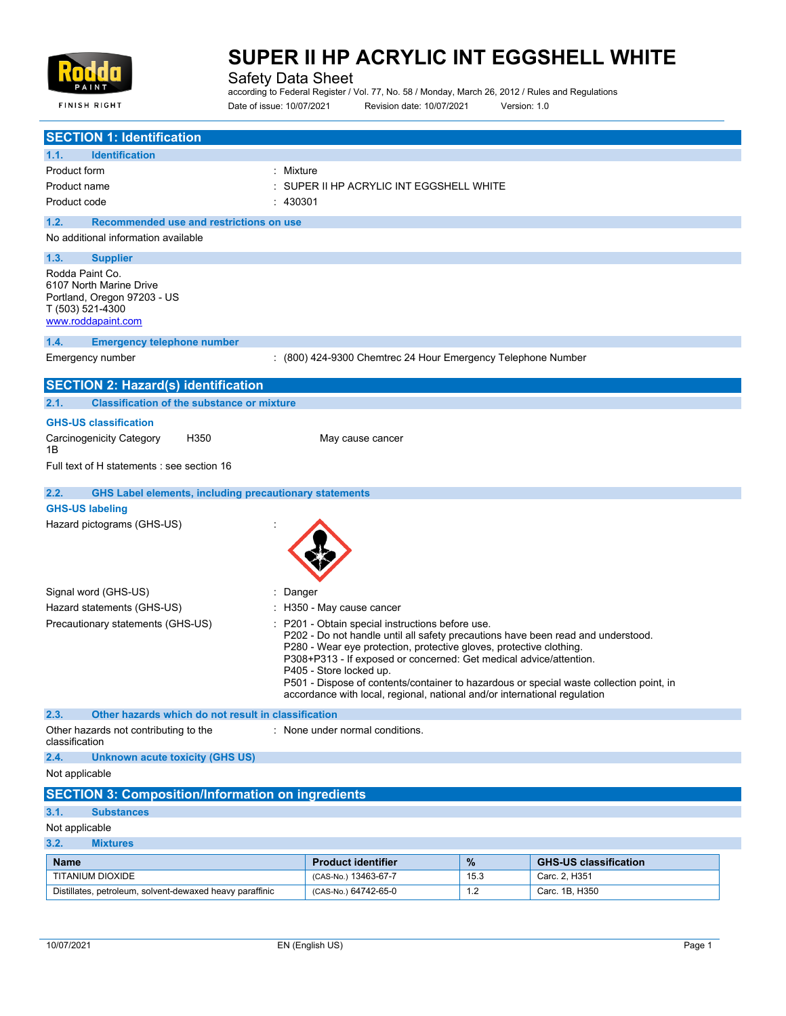

**FINISH RIGHT** 

## **SUPER II HP ACRYLIC INT EGGSHELL WHITE**

Safety Data Sheet

according to Federal Register / Vol. 77, No. 58 / Monday, March 26, 2012 / Rules and Regulations Date of issue: 10/07/2021 Revision date: 10/07/2021 Version: 1.0

| <b>SECTION 1: Identification</b>                                                                                    |                                                                                                                                                                                                                                                                                                                                                                                                                                                                                    |      |                              |  |
|---------------------------------------------------------------------------------------------------------------------|------------------------------------------------------------------------------------------------------------------------------------------------------------------------------------------------------------------------------------------------------------------------------------------------------------------------------------------------------------------------------------------------------------------------------------------------------------------------------------|------|------------------------------|--|
| 1.1.<br><b>Identification</b>                                                                                       |                                                                                                                                                                                                                                                                                                                                                                                                                                                                                    |      |                              |  |
| : Mixture<br>Product form                                                                                           |                                                                                                                                                                                                                                                                                                                                                                                                                                                                                    |      |                              |  |
| Product name                                                                                                        | SUPER II HP ACRYLIC INT EGGSHELL WHITE                                                                                                                                                                                                                                                                                                                                                                                                                                             |      |                              |  |
| 430301<br>Product code                                                                                              |                                                                                                                                                                                                                                                                                                                                                                                                                                                                                    |      |                              |  |
| 1.2.<br>Recommended use and restrictions on use                                                                     |                                                                                                                                                                                                                                                                                                                                                                                                                                                                                    |      |                              |  |
| No additional information available                                                                                 |                                                                                                                                                                                                                                                                                                                                                                                                                                                                                    |      |                              |  |
| 1.3.<br><b>Supplier</b>                                                                                             |                                                                                                                                                                                                                                                                                                                                                                                                                                                                                    |      |                              |  |
| Rodda Paint Co.<br>6107 North Marine Drive<br>Portland, Oregon 97203 - US<br>T (503) 521-4300<br>www.roddapaint.com |                                                                                                                                                                                                                                                                                                                                                                                                                                                                                    |      |                              |  |
| 1.4.<br><b>Emergency telephone number</b>                                                                           |                                                                                                                                                                                                                                                                                                                                                                                                                                                                                    |      |                              |  |
| Emergency number                                                                                                    | : (800) 424-9300 Chemtrec 24 Hour Emergency Telephone Number                                                                                                                                                                                                                                                                                                                                                                                                                       |      |                              |  |
| <b>SECTION 2: Hazard(s) identification</b>                                                                          |                                                                                                                                                                                                                                                                                                                                                                                                                                                                                    |      |                              |  |
| <b>Classification of the substance or mixture</b><br>2.1.                                                           |                                                                                                                                                                                                                                                                                                                                                                                                                                                                                    |      |                              |  |
| <b>GHS-US classification</b>                                                                                        |                                                                                                                                                                                                                                                                                                                                                                                                                                                                                    |      |                              |  |
| Carcinogenicity Category<br>H350<br>1Β                                                                              | May cause cancer                                                                                                                                                                                                                                                                                                                                                                                                                                                                   |      |                              |  |
| Full text of H statements : see section 16                                                                          |                                                                                                                                                                                                                                                                                                                                                                                                                                                                                    |      |                              |  |
| 2.2.<br><b>GHS Label elements, including precautionary statements</b>                                               |                                                                                                                                                                                                                                                                                                                                                                                                                                                                                    |      |                              |  |
| <b>GHS-US labeling</b>                                                                                              |                                                                                                                                                                                                                                                                                                                                                                                                                                                                                    |      |                              |  |
| Hazard pictograms (GHS-US)                                                                                          |                                                                                                                                                                                                                                                                                                                                                                                                                                                                                    |      |                              |  |
| Signal word (GHS-US)<br>Danger                                                                                      |                                                                                                                                                                                                                                                                                                                                                                                                                                                                                    |      |                              |  |
| Hazard statements (GHS-US)                                                                                          | H350 - May cause cancer                                                                                                                                                                                                                                                                                                                                                                                                                                                            |      |                              |  |
| Precautionary statements (GHS-US)                                                                                   | P201 - Obtain special instructions before use.<br>P202 - Do not handle until all safety precautions have been read and understood.<br>P280 - Wear eye protection, protective gloves, protective clothing.<br>P308+P313 - If exposed or concerned: Get medical advice/attention.<br>P405 - Store locked up.<br>P501 - Dispose of contents/container to hazardous or special waste collection point, in<br>accordance with local, regional, national and/or international regulation |      |                              |  |
| 2.3.<br>Other hazards which do not result in classification                                                         |                                                                                                                                                                                                                                                                                                                                                                                                                                                                                    |      |                              |  |
| Other hazards not contributing to the<br>classification                                                             | : None under normal conditions.                                                                                                                                                                                                                                                                                                                                                                                                                                                    |      |                              |  |
| 2.4.<br><b>Unknown acute toxicity (GHS US)</b>                                                                      |                                                                                                                                                                                                                                                                                                                                                                                                                                                                                    |      |                              |  |
| Not applicable                                                                                                      |                                                                                                                                                                                                                                                                                                                                                                                                                                                                                    |      |                              |  |
| <b>SECTION 3: Composition/Information on ingredients</b>                                                            |                                                                                                                                                                                                                                                                                                                                                                                                                                                                                    |      |                              |  |
| 3.1.<br><b>Substances</b>                                                                                           |                                                                                                                                                                                                                                                                                                                                                                                                                                                                                    |      |                              |  |
| Not applicable                                                                                                      |                                                                                                                                                                                                                                                                                                                                                                                                                                                                                    |      |                              |  |
| 3.2.<br><b>Mixtures</b>                                                                                             |                                                                                                                                                                                                                                                                                                                                                                                                                                                                                    |      |                              |  |
| <b>Name</b>                                                                                                         | <b>Product identifier</b>                                                                                                                                                                                                                                                                                                                                                                                                                                                          | $\%$ | <b>GHS-US classification</b> |  |
| TITANIUM DIOXIDE                                                                                                    | (CAS-No.) 13463-67-7                                                                                                                                                                                                                                                                                                                                                                                                                                                               | 15.3 | Carc. 2, H351                |  |

Distillates, petroleum, solvent-dewaxed heavy paraffinic (CAS-No.) 64742-65-0 1.2 Carc. 1B, H350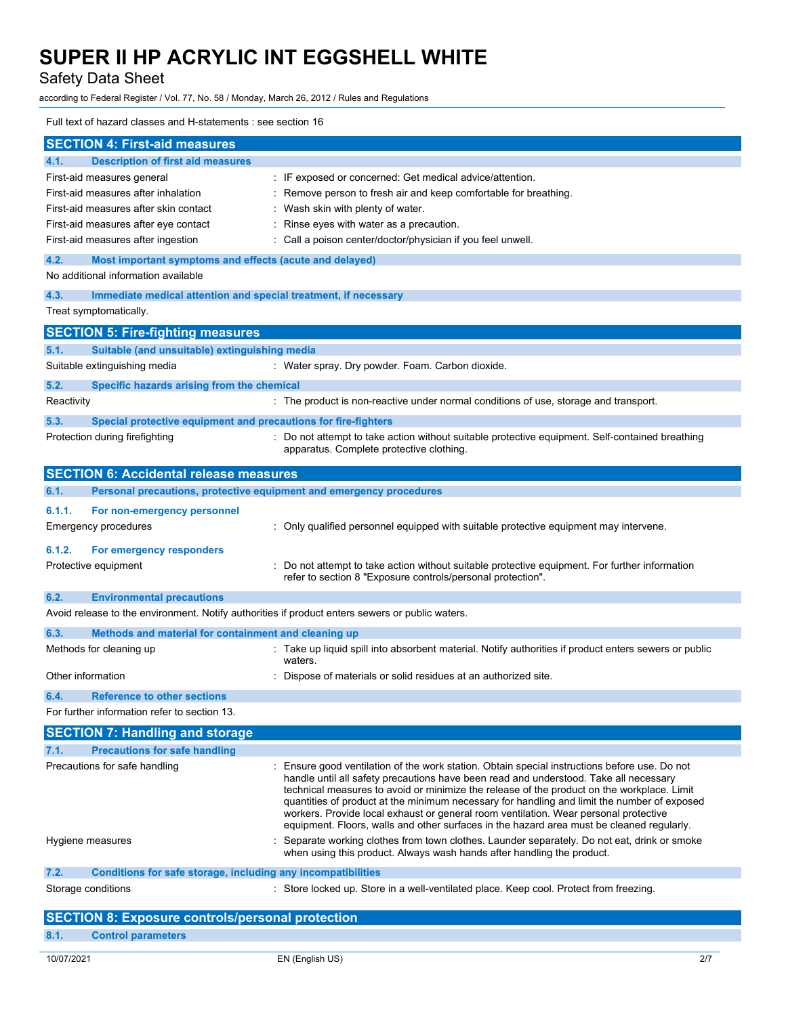Safety Data Sheet

according to Federal Register / Vol. 77, No. 58 / Monday, March 26, 2012 / Rules and Regulations

## Full text of hazard classes and H-statements : see section 16

|                                                                                                              | <b>SECTION 4: First-aid measures</b>                                                                    |                                                                                                                                                                                   |  |
|--------------------------------------------------------------------------------------------------------------|---------------------------------------------------------------------------------------------------------|-----------------------------------------------------------------------------------------------------------------------------------------------------------------------------------|--|
| 4.1.                                                                                                         | <b>Description of first aid measures</b>                                                                |                                                                                                                                                                                   |  |
|                                                                                                              | First-aid measures general                                                                              | : IF exposed or concerned: Get medical advice/attention.                                                                                                                          |  |
|                                                                                                              | First-aid measures after inhalation<br>: Remove person to fresh air and keep comfortable for breathing. |                                                                                                                                                                                   |  |
|                                                                                                              | First-aid measures after skin contact<br>: Wash skin with plenty of water.                              |                                                                                                                                                                                   |  |
|                                                                                                              | First-aid measures after eye contact<br>: Rinse eyes with water as a precaution.                        |                                                                                                                                                                                   |  |
|                                                                                                              | First-aid measures after ingestion<br>: Call a poison center/doctor/physician if you feel unwell.       |                                                                                                                                                                                   |  |
| 4.2.                                                                                                         |                                                                                                         |                                                                                                                                                                                   |  |
|                                                                                                              | Most important symptoms and effects (acute and delayed)<br>No additional information available          |                                                                                                                                                                                   |  |
|                                                                                                              |                                                                                                         |                                                                                                                                                                                   |  |
| 4.3.                                                                                                         | Immediate medical attention and special treatment, if necessary                                         |                                                                                                                                                                                   |  |
|                                                                                                              | Treat symptomatically.                                                                                  |                                                                                                                                                                                   |  |
|                                                                                                              | <b>SECTION 5: Fire-fighting measures</b>                                                                |                                                                                                                                                                                   |  |
| 5.1.                                                                                                         | Suitable (and unsuitable) extinguishing media                                                           |                                                                                                                                                                                   |  |
|                                                                                                              | Suitable extinguishing media                                                                            | : Water spray. Dry powder. Foam. Carbon dioxide.                                                                                                                                  |  |
| 5.2.                                                                                                         | Specific hazards arising from the chemical                                                              |                                                                                                                                                                                   |  |
| Reactivity                                                                                                   |                                                                                                         | : The product is non-reactive under normal conditions of use, storage and transport.                                                                                              |  |
|                                                                                                              |                                                                                                         |                                                                                                                                                                                   |  |
| 5.3.                                                                                                         | Special protective equipment and precautions for fire-fighters                                          |                                                                                                                                                                                   |  |
|                                                                                                              | Protection during firefighting                                                                          | : Do not attempt to take action without suitable protective equipment. Self-contained breathing<br>apparatus. Complete protective clothing.                                       |  |
|                                                                                                              |                                                                                                         |                                                                                                                                                                                   |  |
|                                                                                                              | <b>SECTION 6: Accidental release measures</b>                                                           |                                                                                                                                                                                   |  |
| 6.1.                                                                                                         | Personal precautions, protective equipment and emergency procedures                                     |                                                                                                                                                                                   |  |
| 6.1.1.                                                                                                       | For non-emergency personnel                                                                             |                                                                                                                                                                                   |  |
|                                                                                                              | Emergency procedures                                                                                    | : Only qualified personnel equipped with suitable protective equipment may intervene.                                                                                             |  |
|                                                                                                              |                                                                                                         |                                                                                                                                                                                   |  |
| 6.1.2.                                                                                                       | For emergency responders                                                                                |                                                                                                                                                                                   |  |
|                                                                                                              | Protective equipment                                                                                    | : Do not attempt to take action without suitable protective equipment. For further information                                                                                    |  |
|                                                                                                              |                                                                                                         | refer to section 8 "Exposure controls/personal protection".                                                                                                                       |  |
| 6.2.                                                                                                         | <b>Environmental precautions</b>                                                                        |                                                                                                                                                                                   |  |
|                                                                                                              |                                                                                                         | Avoid release to the environment. Notify authorities if product enters sewers or public waters.                                                                                   |  |
| 6.3.                                                                                                         | Methods and material for containment and cleaning up                                                    |                                                                                                                                                                                   |  |
|                                                                                                              | Methods for cleaning up                                                                                 | : Take up liquid spill into absorbent material. Notify authorities if product enters sewers or public                                                                             |  |
|                                                                                                              |                                                                                                         | waters.                                                                                                                                                                           |  |
| Other information                                                                                            |                                                                                                         | Dispose of materials or solid residues at an authorized site.                                                                                                                     |  |
| 6.4.                                                                                                         | <b>Reference to other sections</b>                                                                      |                                                                                                                                                                                   |  |
|                                                                                                              | For further information refer to section 13.                                                            |                                                                                                                                                                                   |  |
|                                                                                                              | <b>SECTION 7: Handling and storage</b>                                                                  |                                                                                                                                                                                   |  |
| 7.1.                                                                                                         | <b>Precautions for safe handling</b>                                                                    |                                                                                                                                                                                   |  |
|                                                                                                              | Precautions for safe handling                                                                           | : Ensure good ventilation of the work station. Obtain special instructions before use. Do not                                                                                     |  |
|                                                                                                              |                                                                                                         | handle until all safety precautions have been read and understood. Take all necessary                                                                                             |  |
|                                                                                                              |                                                                                                         | technical measures to avoid or minimize the release of the product on the workplace. Limit                                                                                        |  |
|                                                                                                              |                                                                                                         | quantities of product at the minimum necessary for handling and limit the number of exposed                                                                                       |  |
|                                                                                                              |                                                                                                         | workers. Provide local exhaust or general room ventilation. Wear personal protective<br>equipment. Floors, walls and other surfaces in the hazard area must be cleaned regularly. |  |
|                                                                                                              | Hygiene measures                                                                                        | Separate working clothes from town clothes. Launder separately. Do not eat, drink or smoke                                                                                        |  |
|                                                                                                              |                                                                                                         | when using this product. Always wash hands after handling the product.                                                                                                            |  |
| 7.2.                                                                                                         | Conditions for safe storage, including any incompatibilities                                            |                                                                                                                                                                                   |  |
| Storage conditions<br>: Store locked up. Store in a well-ventilated place. Keep cool. Protect from freezing. |                                                                                                         |                                                                                                                                                                                   |  |
|                                                                                                              |                                                                                                         |                                                                                                                                                                                   |  |
|                                                                                                              | <b>SECTION 8: Exposure controls/personal protection</b>                                                 |                                                                                                                                                                                   |  |
| 8.1.                                                                                                         | <b>Control parameters</b>                                                                               |                                                                                                                                                                                   |  |
|                                                                                                              |                                                                                                         |                                                                                                                                                                                   |  |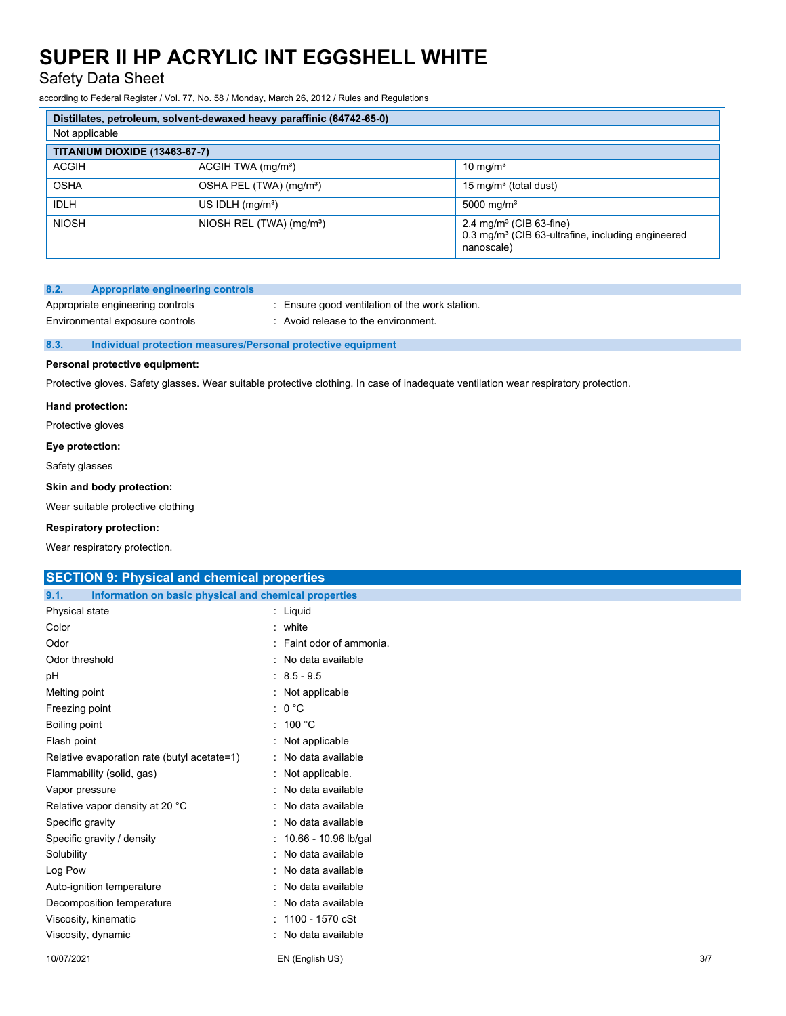Safety Data Sheet

according to Federal Register / Vol. 77, No. 58 / Monday, March 26, 2012 / Rules and Regulations

| Distillates, petroleum, solvent-dewaxed heavy paraffinic (64742-65-0) |                                      |                                                                                                                    |
|-----------------------------------------------------------------------|--------------------------------------|--------------------------------------------------------------------------------------------------------------------|
| Not applicable                                                        |                                      |                                                                                                                    |
| TITANIUM DIOXIDE (13463-67-7)                                         |                                      |                                                                                                                    |
| <b>ACGIH</b>                                                          | $ACGIH TWA$ (mg/m <sup>3</sup> )     | 10 mg/ $m3$                                                                                                        |
| <b>OSHA</b>                                                           | OSHA PEL (TWA) (mg/m <sup>3</sup> )  | 15 mg/m <sup>3</sup> (total dust)                                                                                  |
| <b>IDLH</b>                                                           | US IDLH $(mg/m3)$                    | 5000 mg/m <sup>3</sup>                                                                                             |
| <b>NIOSH</b>                                                          | NIOSH REL (TWA) (mg/m <sup>3</sup> ) | 2.4 mg/m <sup>3</sup> (CIB 63-fine)<br>0.3 mg/m <sup>3</sup> (CIB 63-ultrafine, including engineered<br>nanoscale) |

### **8.2. Appropriate engineering controls**

Environmental exposure controls : Avoid release to the environment.

Appropriate engineering controls : Ensure good ventilation of the work station.

## **8.3. Individual protection measures/Personal protective equipment**

## **Personal protective equipment:**

Protective gloves. Safety glasses. Wear suitable protective clothing. In case of inadequate ventilation wear respiratory protection.

### **Hand protection:**

Protective gloves

#### **Eye protection:**

Safety glasses

## **Skin and body protection:**

Wear suitable protective clothing

## **Respiratory protection:**

Wear respiratory protection.

## 10/07/2021 EN (English US) 3/7 **SECTION 9: Physical and chemical properties 9.1. Information on basic physical and chemical properties** Physical state : Liquid Color : white : white : white : white : white : white : white : white :  $\frac{1}{2}$ Odor : Faint odor of ammonia. Odor threshold : No data available pH : 8.5 - 9.5 Melting point : Not applicable Freezing point : 0 °C Boiling point : 100 °C Flash point : Not applicable : Relative evaporation rate (butyl acetate=1) : No data available Flammability (solid, gas) : Not applicable. Vapor pressure in the set of the set of the set of the Vapor pressure in the set of the set of the Vapor set o Relative vapor density at 20 °C : No data available Specific gravity **Specific gravity Specific gravity Specific gravity Specific gravity Specific gravity Specific gravity Specific gravity Specific gravity Specific gravity Specific gravity Specific gravi** Specific gravity / density  $\cdot$  10.66 - 10.96 lb/gal Solubility : No data available Log Pow : No data available Auto-ignition temperature **interest and the Contract Contract Auto-** : No data available Decomposition temperature : No data available Viscosity, kinematic : 1100 - 1570 cSt Viscosity, dynamic **intervalse in the Contract of Contract Contract Contract Contract Contract Contract Contract Contract Contract Contract Contract Contract Contract Contract Contract Contract Contract Contract Contract C**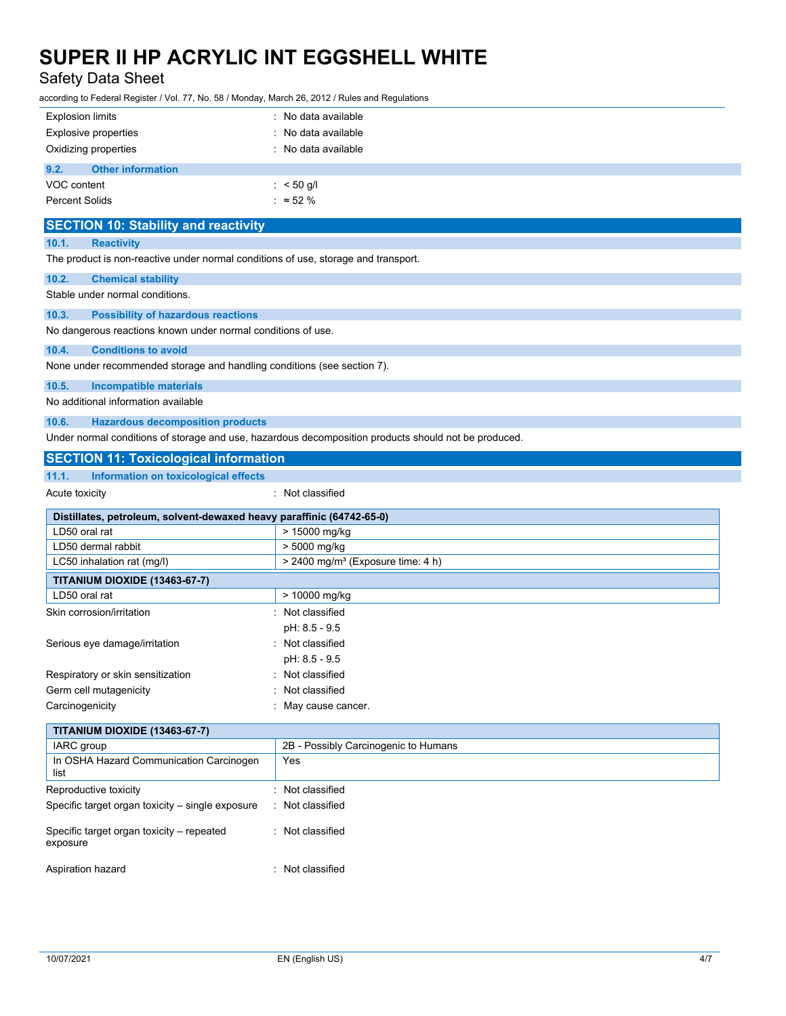## Safety Data Sheet

according to Federal Register / Vol. 77, No. 58 / Monday, March 26, 2012 / Rules and Regulations

| <b>Explosion limits</b>                                                                                   | : No data available                                                                                  |
|-----------------------------------------------------------------------------------------------------------|------------------------------------------------------------------------------------------------------|
| <b>Explosive properties</b>                                                                               | No data available                                                                                    |
| Oxidizing properties                                                                                      | : No data available                                                                                  |
| 9.2.<br><b>Other information</b>                                                                          |                                                                                                      |
| VOC content                                                                                               | : $< 50$ g/l                                                                                         |
| <b>Percent Solids</b>                                                                                     | : $\approx$ 52 %                                                                                     |
| <b>SECTION 10: Stability and reactivity</b>                                                               |                                                                                                      |
| 10.1.<br><b>Reactivity</b>                                                                                |                                                                                                      |
| The product is non-reactive under normal conditions of use, storage and transport.                        |                                                                                                      |
| 10.2.<br><b>Chemical stability</b>                                                                        |                                                                                                      |
| Stable under normal conditions.                                                                           |                                                                                                      |
| 10.3.                                                                                                     |                                                                                                      |
| <b>Possibility of hazardous reactions</b><br>No dangerous reactions known under normal conditions of use. |                                                                                                      |
|                                                                                                           |                                                                                                      |
| 10.4.<br><b>Conditions to avoid</b>                                                                       |                                                                                                      |
| None under recommended storage and handling conditions (see section 7).                                   |                                                                                                      |
| 10.5.<br><b>Incompatible materials</b>                                                                    |                                                                                                      |
| No additional information available                                                                       |                                                                                                      |
| 10.6.<br><b>Hazardous decomposition products</b>                                                          |                                                                                                      |
|                                                                                                           | Under normal conditions of storage and use, hazardous decomposition products should not be produced. |
| <b>SECTION 11: Toxicological information</b>                                                              |                                                                                                      |
| 11.1.<br>Information on toxicological effects                                                             |                                                                                                      |
| Acute toxicity                                                                                            | : Not classified                                                                                     |
| Distillates, petroleum, solvent-dewaxed heavy paraffinic (64742-65-0)                                     |                                                                                                      |
| LD50 oral rat                                                                                             | > 15000 mg/kg                                                                                        |
| LD50 dermal rabbit                                                                                        | > 5000 mg/kg                                                                                         |
| LC50 inhalation rat (mg/l)                                                                                | > 2400 mg/m <sup>3</sup> (Exposure time: 4 h)                                                        |
| TITANIUM DIOXIDE (13463-67-7)                                                                             |                                                                                                      |
| LD50 oral rat                                                                                             | > 10000 mg/kg                                                                                        |
| Skin corrosion/irritation                                                                                 | : Not classified                                                                                     |
|                                                                                                           | pH: 8.5 - 9.5                                                                                        |
| Serious eye damage/irritation                                                                             | : Not classified                                                                                     |
|                                                                                                           | pH: 8.5 - 9.5                                                                                        |
| Respiratory or skin sensitization                                                                         | : Not classified                                                                                     |
| Germ cell mutagenicity                                                                                    | Not classified<br>May cause cancer.                                                                  |
| Carcinogenicity                                                                                           |                                                                                                      |
| TITANIUM DIOXIDE (13463-67-7)                                                                             |                                                                                                      |
| IARC group                                                                                                | 2B - Possibly Carcinogenic to Humans                                                                 |
| In OSHA Hazard Communication Carcinogen<br>list                                                           | Yes                                                                                                  |
| Reproductive toxicity                                                                                     | : Not classified                                                                                     |
| Specific target organ toxicity - single exposure                                                          | Not classified                                                                                       |
| Specific target organ toxicity - repeated<br>exposure                                                     | : Not classified                                                                                     |
| Aspiration hazard                                                                                         | : Not classified                                                                                     |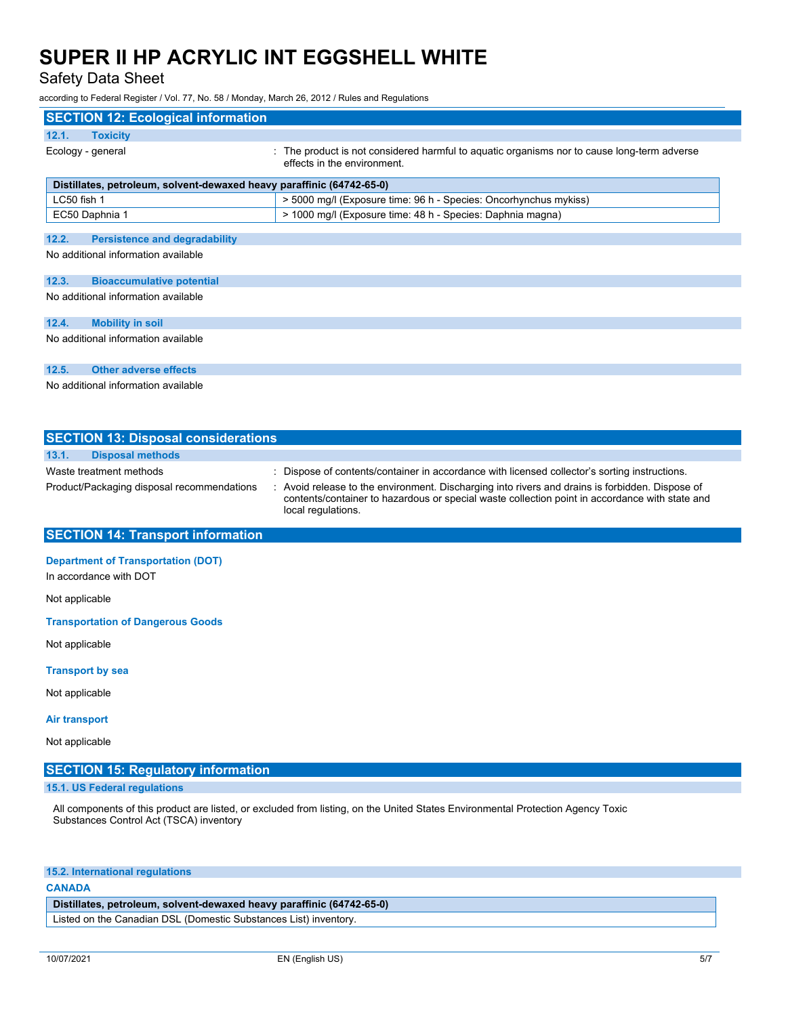Safety Data Sheet

according to Federal Register / Vol. 77, No. 58 / Monday, March 26, 2012 / Rules and Regulations

| <b>SECTION 12: Ecological information</b>                                       |                                                                                                                            |  |
|---------------------------------------------------------------------------------|----------------------------------------------------------------------------------------------------------------------------|--|
| <b>Toxicity</b><br>12.1.                                                        |                                                                                                                            |  |
| Ecology - general                                                               | : The product is not considered harmful to aquatic organisms nor to cause long-term adverse<br>effects in the environment. |  |
| Distillates, petroleum, solvent-dewaxed heavy paraffinic (64742-65-0)           |                                                                                                                            |  |
| LC50 fish 1<br>> 5000 mg/l (Exposure time: 96 h - Species: Oncorhynchus mykiss) |                                                                                                                            |  |
| EC50 Daphnia 1                                                                  | > 1000 mg/l (Exposure time: 48 h - Species: Daphnia magna)                                                                 |  |
| 12.2.<br><b>Persistence and degradability</b>                                   |                                                                                                                            |  |
| No additional information available                                             |                                                                                                                            |  |
| 12.3.<br><b>Bioaccumulative potential</b>                                       |                                                                                                                            |  |
| No additional information available                                             |                                                                                                                            |  |
| 12.4.<br><b>Mobility in soil</b>                                                |                                                                                                                            |  |
| No additional information available                                             |                                                                                                                            |  |
| 12.5.<br><b>Other adverse effects</b>                                           |                                                                                                                            |  |
| No additional information available                                             |                                                                                                                            |  |

| <b>SECTION 13: Disposal considerations</b>                            |                                                                                                                                                                                                                                                                                                                          |
|-----------------------------------------------------------------------|--------------------------------------------------------------------------------------------------------------------------------------------------------------------------------------------------------------------------------------------------------------------------------------------------------------------------|
| 13.1.<br><b>Disposal methods</b>                                      |                                                                                                                                                                                                                                                                                                                          |
| Waste treatment methods<br>Product/Packaging disposal recommendations | : Dispose of contents/container in accordance with licensed collector's sorting instructions.<br>: Avoid release to the environment. Discharging into rivers and drains is forbidden. Dispose of<br>contents/container to hazardous or special waste collection point in accordance with state and<br>local regulations. |
| <b>SECTION 14: Transport information</b>                              |                                                                                                                                                                                                                                                                                                                          |
| <b>Department of Transportation (DOT)</b><br>In accordance with DOT   |                                                                                                                                                                                                                                                                                                                          |
| Not applicable                                                        |                                                                                                                                                                                                                                                                                                                          |

**Transportation of Dangerous Goods**

Not applicable

#### **Transport by sea**

Not applicable

## **Air transport**

Not applicable

## **SECTION 15: Regulatory information**

## **15.1. US Federal regulations**

All components of this product are listed, or excluded from listing, on the United States Environmental Protection Agency Toxic Substances Control Act (TSCA) inventory

## **15.2. International regulations**

### **CANADA**

## **Distillates, petroleum, solvent-dewaxed heavy paraffinic (64742-65-0)**

Listed on the Canadian DSL (Domestic Substances List) inventory.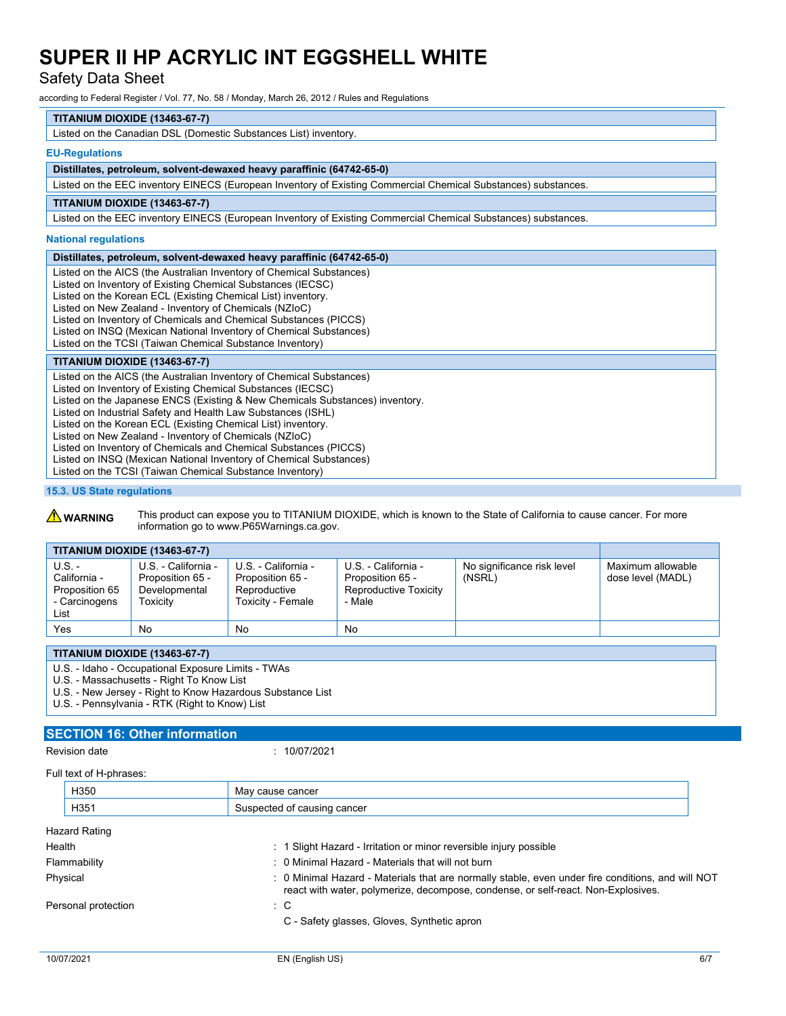Safety Data Sheet

according to Federal Register / Vol. 77, No. 58 / Monday, March 26, 2012 / Rules and Regulations

## **TITANIUM DIOXIDE (13463-67-7)**

Listed on the Canadian DSL (Domestic Substances List) inventory.

## **EU-Regulations**

## **Distillates, petroleum, solvent-dewaxed heavy paraffinic (64742-65-0)**

Listed on the EEC inventory EINECS (European Inventory of Existing Commercial Chemical Substances) substances.

## **TITANIUM DIOXIDE (13463-67-7)**

Listed on the EEC inventory EINECS (European Inventory of Existing Commercial Chemical Substances) substances.

#### **National regulations**

### **Distillates, petroleum, solvent-dewaxed heavy paraffinic (64742-65-0)**

Listed on the AICS (the Australian Inventory of Chemical Substances) Listed on Inventory of Existing Chemical Substances (IECSC) Listed on the Korean ECL (Existing Chemical List) inventory. Listed on New Zealand - Inventory of Chemicals (NZIoC) Listed on Inventory of Chemicals and Chemical Substances (PICCS) Listed on INSQ (Mexican National Inventory of Chemical Substances) Listed on the TCSI (Taiwan Chemical Substance Inventory)

## **TITANIUM DIOXIDE (13463-67-7)**

Listed on the AICS (the Australian Inventory of Chemical Substances)

Listed on Inventory of Existing Chemical Substances (IECSC) Listed on the Japanese ENCS (Existing & New Chemicals Substances) inventory.

Listed on Industrial Safety and Health Law Substances (ISHL)

Listed on the Korean ECL (Existing Chemical List) inventory.

Listed on New Zealand - Inventory of Chemicals (NZIoC)

Listed on Inventory of Chemicals and Chemical Substances (PICCS)

Listed on INSQ (Mexican National Inventory of Chemical Substances)

Listed on the TCSI (Taiwan Chemical Substance Inventory)

#### **15.3. US State regulations**

**A WARNING** This product can expose you to TITANIUM DIOXIDE, which is known to the State of California to cause cancer. For more information go to www.P65Warnings.ca.gov.

| <b>TITANIUM DIOXIDE (13463-67-7)</b>                                |                                                                      |                                                                              |                                                                            |                                      |                                        |
|---------------------------------------------------------------------|----------------------------------------------------------------------|------------------------------------------------------------------------------|----------------------------------------------------------------------------|--------------------------------------|----------------------------------------|
| $U.S. -$<br>California -<br>Proposition 65<br>- Carcinogens<br>List | U.S. - California -<br>Proposition 65 -<br>Developmental<br>Toxicitv | U.S. - California -<br>Proposition 65 -<br>Reproductive<br>Toxicity - Female | U.S. - California -<br>Proposition 65 -<br>Reproductive Toxicity<br>- Male | No significance risk level<br>(NSRL) | Maximum allowable<br>dose level (MADL) |
| Yes                                                                 | No                                                                   | No                                                                           | No                                                                         |                                      |                                        |
|                                                                     |                                                                      |                                                                              |                                                                            |                                      |                                        |

## **TITANIUM DIOXIDE (13463-67-7)**

U.S. - Idaho - Occupational Exposure Limits - TWAs

U.S. - Massachusetts - Right To Know List

U.S. - New Jersey - Right to Know Hazardous Substance List

U.S. - Pennsylvania - RTK (Right to Know) List

## **SECTION 16: Other information**

Revision date : 10/07/2021

| May cause cancer                                                                                                                                                                       |  |  |
|----------------------------------------------------------------------------------------------------------------------------------------------------------------------------------------|--|--|
| Suspected of causing cancer                                                                                                                                                            |  |  |
|                                                                                                                                                                                        |  |  |
| : 1 Slight Hazard - Irritation or minor reversible injury possible                                                                                                                     |  |  |
| : 0 Minimal Hazard - Materials that will not burn                                                                                                                                      |  |  |
| : 0 Minimal Hazard - Materials that are normally stable, even under fire conditions, and will NOT<br>react with water, polymerize, decompose, condense, or self-react. Non-Explosives. |  |  |
| : C                                                                                                                                                                                    |  |  |
| C - Safety glasses, Gloves, Synthetic apron                                                                                                                                            |  |  |
|                                                                                                                                                                                        |  |  |